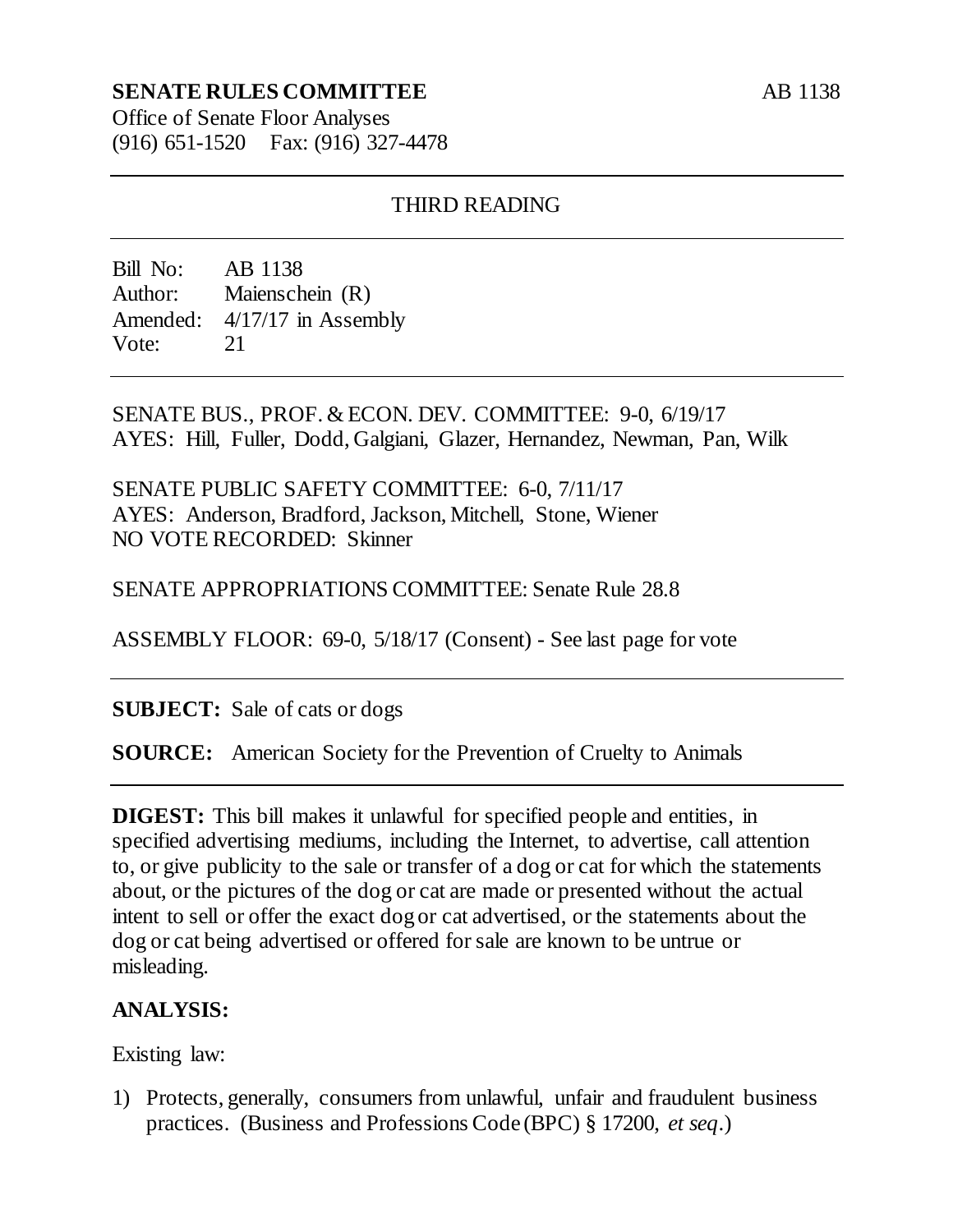## **SENATE RULES COMMITTEE**

Office of Senate Floor Analyses (916) 651-1520 Fax: (916) 327-4478

### THIRD READING

Bill No: AB 1138 Author: Maienschein (R) Amended: 4/17/17 in Assembly Vote: 21

SENATE BUS., PROF. & ECON. DEV. COMMITTEE: 9-0, 6/19/17 AYES: Hill, Fuller, Dodd, Galgiani, Glazer, Hernandez, Newman, Pan, Wilk

SENATE PUBLIC SAFETY COMMITTEE: 6-0, 7/11/17 AYES: Anderson, Bradford, Jackson, Mitchell, Stone, Wiener NO VOTE RECORDED: Skinner

SENATE APPROPRIATIONS COMMITTEE: Senate Rule 28.8

ASSEMBLY FLOOR: 69-0, 5/18/17 (Consent) - See last page for vote

**SUBJECT:** Sale of cats or dogs

**SOURCE:** American Society for the Prevention of Cruelty to Animals

**DIGEST:** This bill makes it unlawful for specified people and entities, in specified advertising mediums, including the Internet, to advertise, call attention to, or give publicity to the sale or transfer of a dog or cat for which the statements about, or the pictures of the dog or cat are made or presented without the actual intent to sell or offer the exact dog or cat advertised, or the statements about the dog or cat being advertised or offered for sale are known to be untrue or misleading.

#### **ANALYSIS:**

Existing law:

1) Protects, generally, consumers from unlawful, unfair and fraudulent business practices. (Business and Professions Code (BPC) § 17200, *et seq*.)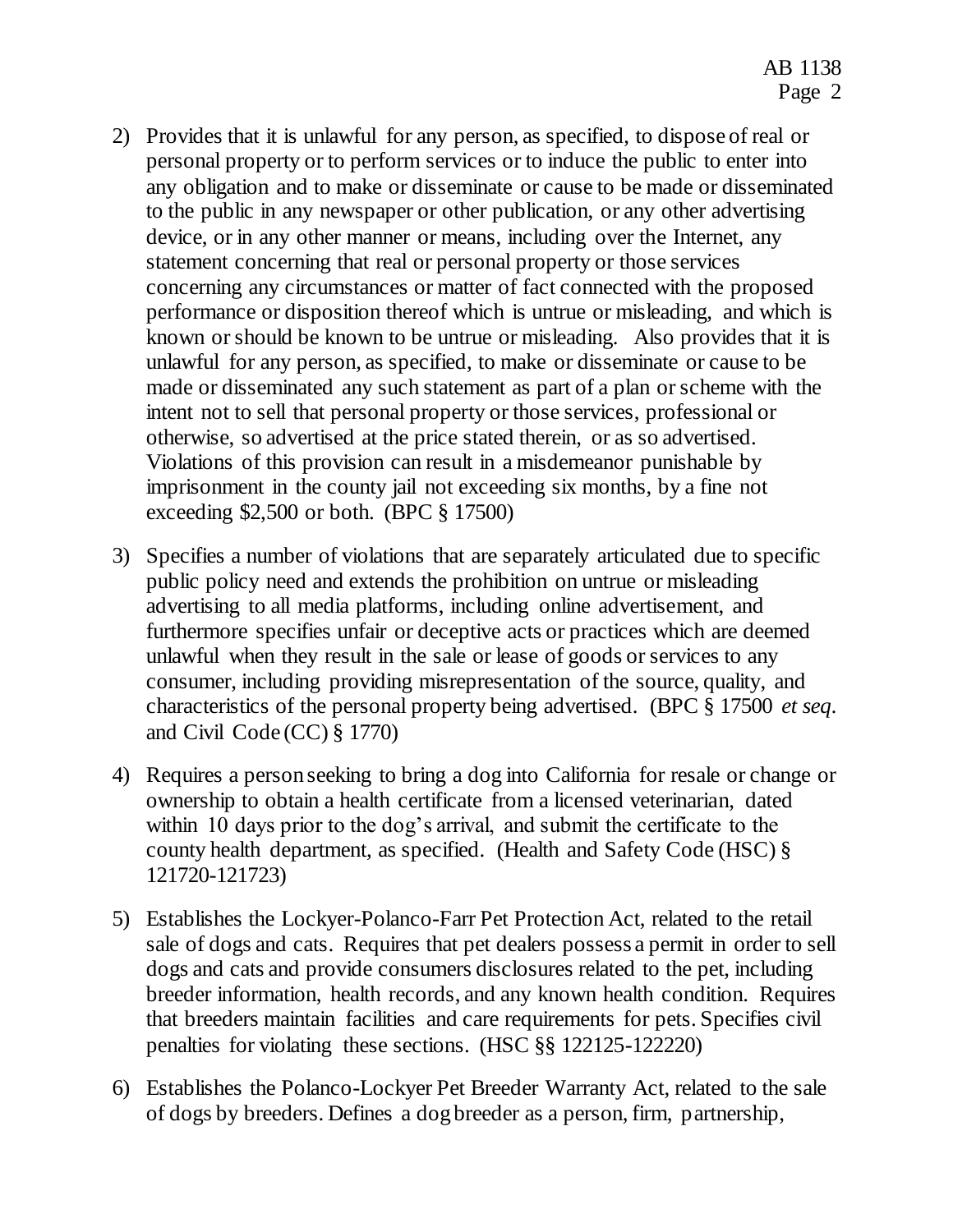- 2) Provides that it is unlawful for any person, as specified, to dispose of real or personal property or to perform services or to induce the public to enter into any obligation and to make or disseminate or cause to be made or disseminated to the public in any newspaper or other publication, or any other advertising device, or in any other manner or means, including over the Internet, any statement concerning that real or personal property or those services concerning any circumstances or matter of fact connected with the proposed performance or disposition thereof which is untrue or misleading, and which is known or should be known to be untrue or misleading. Also provides that it is unlawful for any person, as specified, to make or disseminate or cause to be made or disseminated any such statement as part of a plan or scheme with the intent not to sell that personal property or those services, professional or otherwise, so advertised at the price stated therein, or as so advertised. Violations of this provision can result in a misdemeanor punishable by imprisonment in the county jail not exceeding six months, by a fine not exceeding \$2,500 or both. (BPC § 17500)
- 3) Specifies a number of violations that are separately articulated due to specific public policy need and extends the prohibition on untrue or misleading advertising to all media platforms, including online advertisement, and furthermore specifies unfair or deceptive acts or practices which are deemed unlawful when they result in the sale or lease of goods or services to any consumer, including providing misrepresentation of the source, quality, and characteristics of the personal property being advertised. (BPC § 17500 *et seq.* and Civil Code (CC) § 1770)
- 4) Requires a person seeking to bring a dog into California for resale or change or ownership to obtain a health certificate from a licensed veterinarian, dated within 10 days prior to the dog's arrival, and submit the certificate to the county health department, as specified. (Health and Safety Code (HSC) § 121720-121723)
- 5) Establishes the Lockyer-Polanco-Farr Pet Protection Act, related to the retail sale of dogs and cats. Requires that pet dealers possess a permit in order to sell dogs and cats and provide consumers disclosures related to the pet, including breeder information, health records, and any known health condition. Requires that breeders maintain facilities and care requirements for pets. Specifies civil penalties for violating these sections. (HSC §§ 122125-122220)
- 6) Establishes the Polanco-Lockyer Pet Breeder Warranty Act, related to the sale of dogs by breeders. Defines a dog breeder as a person, firm, partnership,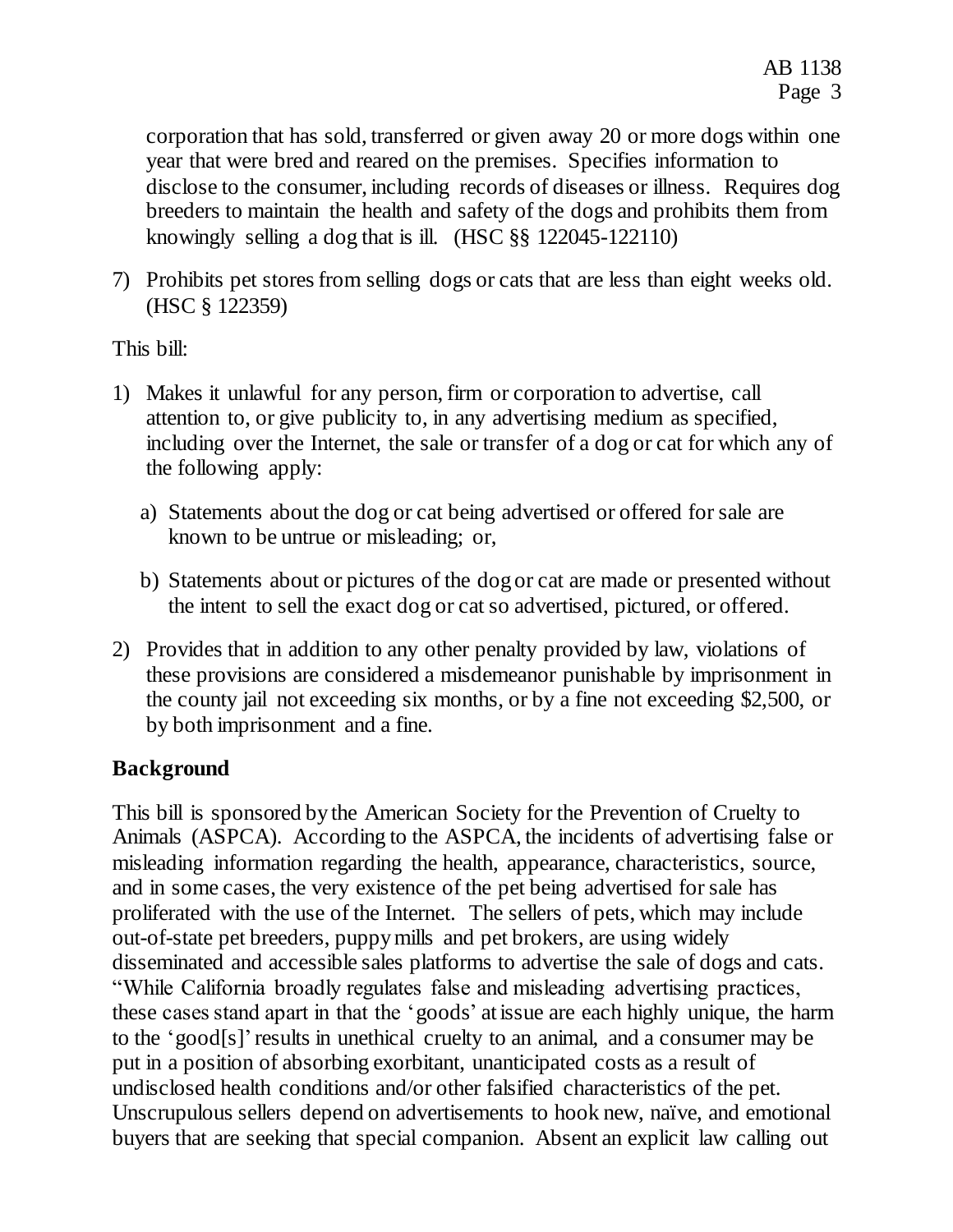corporation that has sold, transferred or given away 20 or more dogs within one year that were bred and reared on the premises. Specifies information to disclose to the consumer, including records of diseases or illness. Requires dog breeders to maintain the health and safety of the dogs and prohibits them from knowingly selling a dog that is ill. (HSC §§ 122045-122110)

7) Prohibits pet stores from selling dogs or cats that are less than eight weeks old. (HSC § 122359)

This bill:

- 1) Makes it unlawful for any person, firm or corporation to advertise, call attention to, or give publicity to, in any advertising medium as specified, including over the Internet, the sale or transfer of a dog or cat for which any of the following apply:
	- a) Statements about the dog or cat being advertised or offered for sale are known to be untrue or misleading; or,
	- b) Statements about or pictures of the dog or cat are made or presented without the intent to sell the exact dog or cat so advertised, pictured, or offered.
- 2) Provides that in addition to any other penalty provided by law, violations of these provisions are considered a misdemeanor punishable by imprisonment in the county jail not exceeding six months, or by a fine not exceeding \$2,500, or by both imprisonment and a fine.

# **Background**

This bill is sponsored by the American Society for the Prevention of Cruelty to Animals (ASPCA). According to the ASPCA, the incidents of advertising false or misleading information regarding the health, appearance, characteristics, source, and in some cases, the very existence of the pet being advertised for sale has proliferated with the use of the Internet. The sellers of pets, which may include out-of-state pet breeders, puppy mills and pet brokers, are using widely disseminated and accessible sales platforms to advertise the sale of dogs and cats. "While California broadly regulates false and misleading advertising practices, these cases stand apart in that the 'goods' at issue are each highly unique, the harm to the 'good[s]'results in unethical cruelty to an animal, and a consumer may be put in a position of absorbing exorbitant, unanticipated costs as a result of undisclosed health conditions and/or other falsified characteristics of the pet. Unscrupulous sellers depend on advertisements to hook new, naïve, and emotional buyers that are seeking that special companion. Absent an explicit law calling out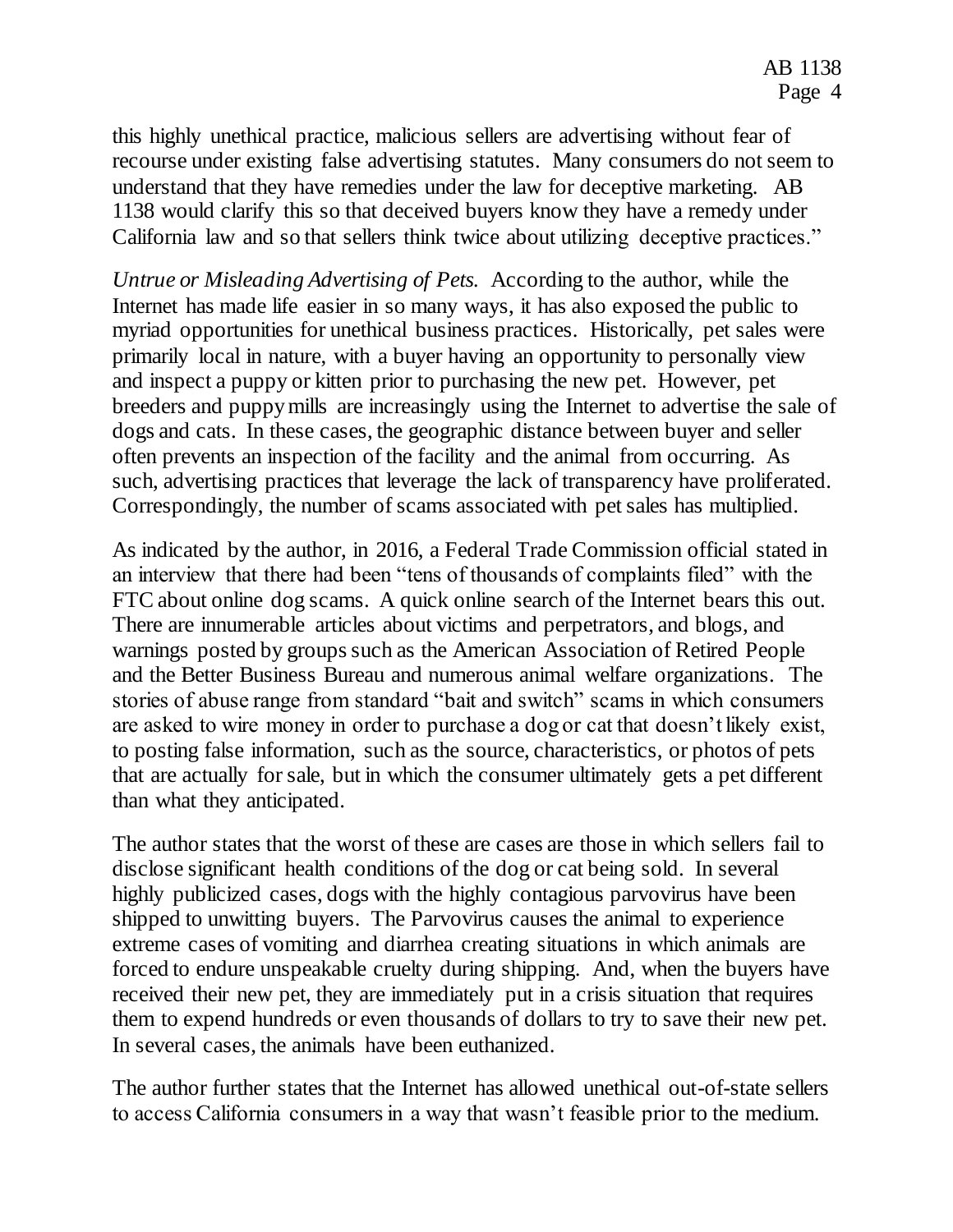this highly unethical practice, malicious sellers are advertising without fear of recourse under existing false advertising statutes. Many consumers do not seem to understand that they have remedies under the law for deceptive marketing. AB 1138 would clarify this so that deceived buyers know they have a remedy under California law and so that sellers think twice about utilizing deceptive practices."

*Untrue or Misleading Advertising of Pets.*According to the author, while the Internet has made life easier in so many ways, it has also exposed the public to myriad opportunities for unethical business practices. Historically, pet sales were primarily local in nature, with a buyer having an opportunity to personally view and inspect a puppy or kitten prior to purchasing the new pet. However, pet breeders and puppy mills are increasingly using the Internet to advertise the sale of dogs and cats. In these cases, the geographic distance between buyer and seller often prevents an inspection of the facility and the animal from occurring. As such, advertising practices that leverage the lack of transparency have proliferated. Correspondingly, the number of scams associated with pet sales has multiplied.

As indicated by the author, in 2016, a Federal Trade Commission official stated in an interview that there had been "tens of thousands of complaints filed" with the FTC about online dog scams. A quick online search of the Internet bears this out. There are innumerable articles about victims and perpetrators, and blogs, and warnings posted by groups such as the American Association of Retired People and the Better Business Bureau and numerous animal welfare organizations. The stories of abuse range from standard "bait and switch" scams in which consumers are asked to wire money in order to purchase a dog or cat that doesn't likely exist, to posting false information, such as the source, characteristics, or photos of pets that are actually for sale, but in which the consumer ultimately gets a pet different than what they anticipated.

The author states that the worst of these are cases are those in which sellers fail to disclose significant health conditions of the dog or cat being sold. In several highly publicized cases, dogs with the highly contagious parvovirus have been shipped to unwitting buyers. The Parvovirus causes the animal to experience extreme cases of vomiting and diarrhea creating situations in which animals are forced to endure unspeakable cruelty during shipping. And, when the buyers have received their new pet, they are immediately put in a crisis situation that requires them to expend hundreds or even thousands of dollars to try to save their new pet. In several cases, the animals have been euthanized.

The author further states that the Internet has allowed unethical out-of-state sellers to access California consumers in a way that wasn't feasible prior to the medium.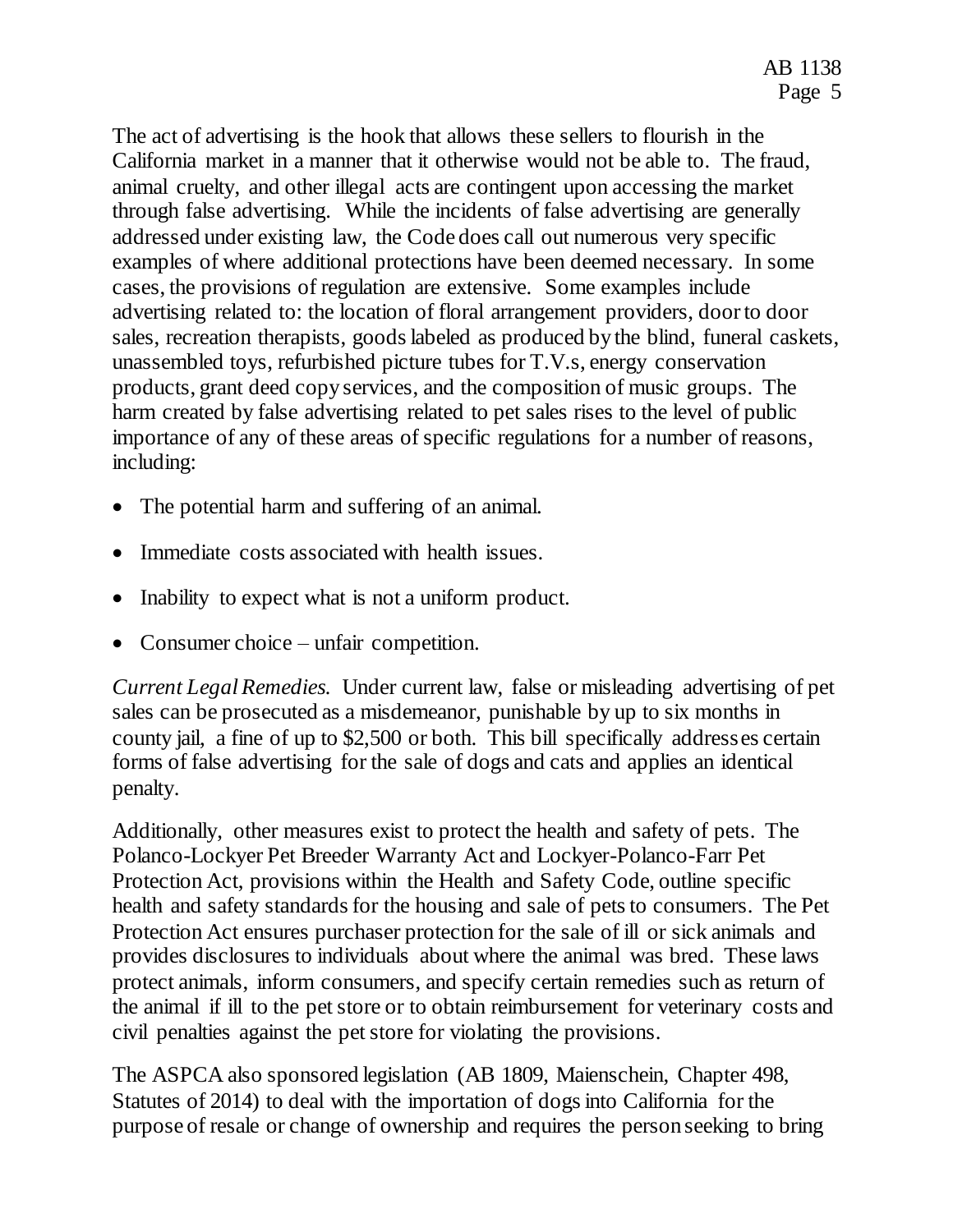The act of advertising is the hook that allows these sellers to flourish in the California market in a manner that it otherwise would not be able to. The fraud, animal cruelty, and other illegal acts are contingent upon accessing the market through false advertising. While the incidents of false advertising are generally addressed under existing law, the Code does call out numerous very specific examples of where additional protections have been deemed necessary. In some cases, the provisions of regulation are extensive. Some examples include advertising related to: the location of floral arrangement providers, door to door sales, recreation therapists, goods labeled as produced by the blind, funeral caskets, unassembled toys, refurbished picture tubes for T.V.s, energy conservation products, grant deed copy services, and the composition of music groups. The harm created by false advertising related to pet sales rises to the level of public importance of any of these areas of specific regulations for a number of reasons, including:

- The potential harm and suffering of an animal.
- Immediate costs associated with health issues.
- Inability to expect what is not a uniform product.
- Consumer choice unfair competition.

*Current Legal Remedies.* Under current law, false or misleading advertising of pet sales can be prosecuted as a misdemeanor, punishable by up to six months in county jail, a fine of up to \$2,500 or both. This bill specifically addresses certain forms of false advertising for the sale of dogs and cats and applies an identical penalty.

Additionally, other measures exist to protect the health and safety of pets. The Polanco-Lockyer Pet Breeder Warranty Act and Lockyer-Polanco-Farr Pet Protection Act, provisions within the Health and Safety Code, outline specific health and safety standards for the housing and sale of pets to consumers. The Pet Protection Act ensures purchaser protection for the sale of ill or sick animals and provides disclosures to individuals about where the animal was bred. These laws protect animals, inform consumers, and specify certain remedies such as return of the animal if ill to the pet store or to obtain reimbursement for veterinary costs and civil penalties against the pet store for violating the provisions.

The ASPCA also sponsored legislation (AB 1809, Maienschein, Chapter 498, Statutes of 2014) to deal with the importation of dogs into California for the purpose of resale or change of ownership and requires the person seeking to bring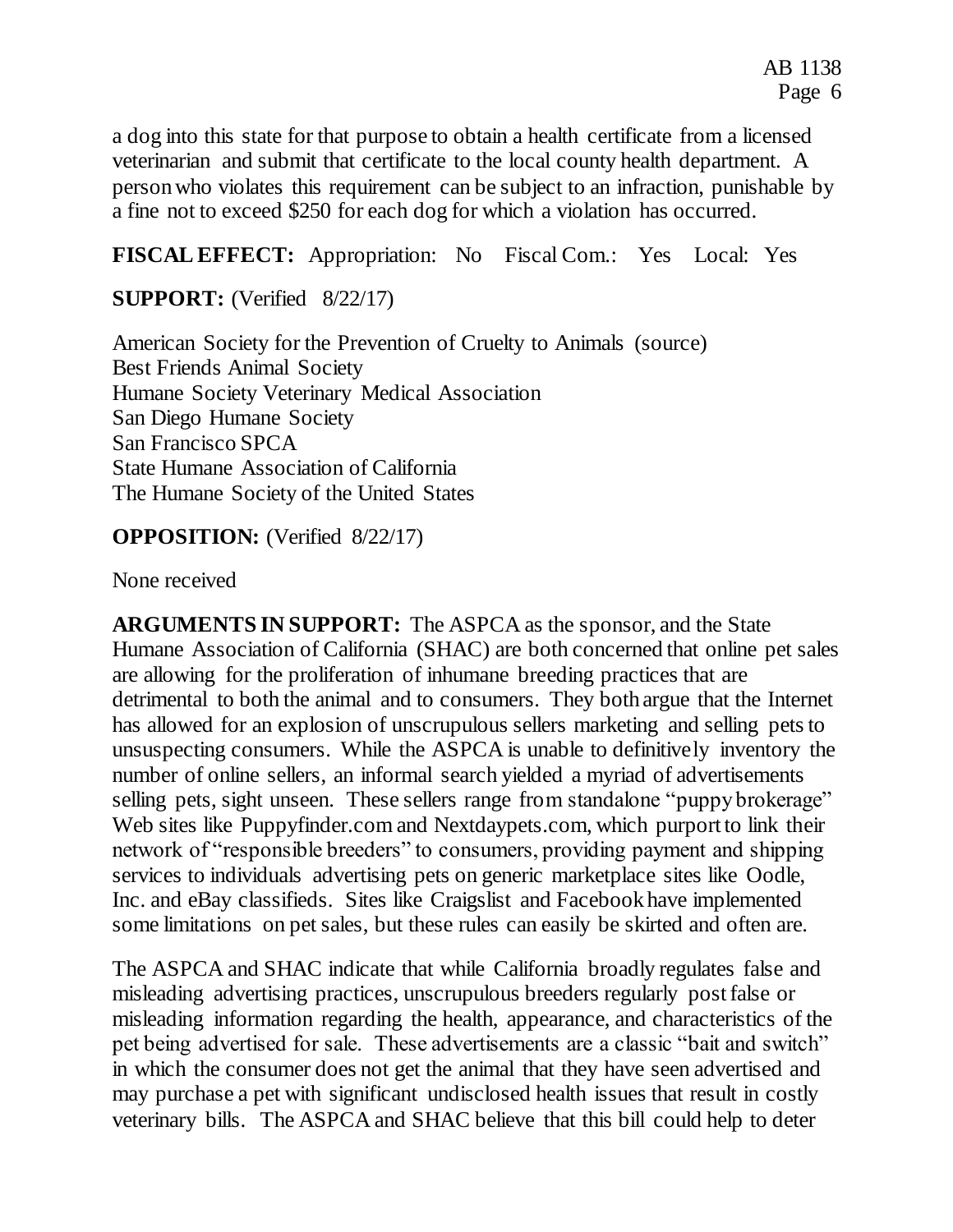a dog into this state for that purpose to obtain a health certificate from a licensed veterinarian and submit that certificate to the local county health department. A person who violates this requirement can be subject to an infraction, punishable by a fine not to exceed \$250 for each dog for which a violation has occurred.

**FISCAL EFFECT:** Appropriation: No Fiscal Com.: Yes Local: Yes

**SUPPORT:** (Verified 8/22/17)

American Society for the Prevention of Cruelty to Animals (source) Best Friends Animal Society Humane Society Veterinary Medical Association San Diego Humane Society San Francisco SPCA State Humane Association of California The Humane Society of the United States

## **OPPOSITION:** (Verified 8/22/17)

None received

**ARGUMENTS IN SUPPORT:** The ASPCA as the sponsor, and the State Humane Association of California (SHAC) are both concerned that online pet sales are allowing for the proliferation of inhumane breeding practices that are detrimental to both the animal and to consumers. They both argue that the Internet has allowed for an explosion of unscrupulous sellers marketing and selling pets to unsuspecting consumers. While the ASPCA is unable to definitively inventory the number of online sellers, an informal search yielded a myriad of advertisements selling pets, sight unseen. These sellers range from standalone "puppy brokerage" Web sites like Puppyfinder.com and Nextdaypets.com, which purport to link their network of "responsible breeders" to consumers, providing payment and shipping services to individuals advertising pets on generic marketplace sites like Oodle, Inc. and eBay classifieds. Sites like Craigslist and Facebook have implemented some limitations on pet sales, but these rules can easily be skirted and often are.

The ASPCA and SHAC indicate that while California broadly regulates false and misleading advertising practices, unscrupulous breeders regularly post false or misleading information regarding the health, appearance, and characteristics of the pet being advertised for sale. These advertisements are a classic "bait and switch" in which the consumer does not get the animal that they have seen advertised and may purchase a pet with significant undisclosed health issues that result in costly veterinary bills. The ASPCA and SHAC believe that this bill could help to deter